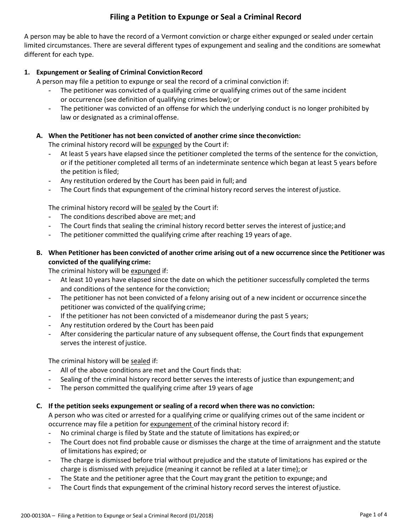# **Filing a Petition to Expunge or Seal a Criminal Record**

A person may be able to have the record of a Vermont conviction or charge either expunged or sealed under certain limited circumstances. There are several different types of expungement and sealing and the conditions are somewhat different for each type.

# **1. Expungement or Sealing of Criminal ConvictionRecord**

A person may file a petition to expunge or seal the record of a criminal conviction if:

- The petitioner was convicted of a qualifying crime or qualifying crimes out of the same incident or occurrence (see definition of qualifying crimes below); or
- The petitioner was convicted of an offense for which the underlying conduct is no longer prohibited by law or designated as a criminal offense.

# **A. When the Petitioner has not been convicted of another crime since theconviction:**

The criminal history record will be expunged by the Court if:

- At least 5 years have elapsed since the petitioner completed the terms of the sentence for the conviction, or if the petitioner completed all terms of an indeterminate sentence which began at least 5 years before the petition is filed;
- Any restitution ordered by the Court has been paid in full; and
- The Court finds that expungement of the criminal history record serves the interest of justice.

The criminal history record will be sealed by the Court if:

- The conditions described above are met; and
- The Court finds that sealing the criminal history record better serves the interest of justice; and
- The petitioner committed the qualifying crime after reaching 19 years of age.
- B. When Petitioner has been convicted of another crime arising out of a new occurrence since the Petitioner was **convicted of the qualifying crime:**

The criminal history will be expunged if:

- At least 10 years have elapsed since the date on which the petitioner successfully completed the terms and conditions of the sentence for the conviction;
- The petitioner has not been convicted of a felony arising out of a new incident or occurrence since the petitioner was convicted of the qualifying crime;
- If the petitioner has not been convicted of a misdemeanor during the past 5 years;
- Any restitution ordered by the Court has been paid
- After considering the particular nature of any subsequent offense, the Court finds that expungement serves the interest of justice.

The criminal history will be sealed if:

- All of the above conditions are met and the Court finds that:
- Sealing of the criminal history record better serves the interests of justice than expungement; and
- The person committed the qualifying crime after 19 years of age

## **C. If the petition seeks expungement or sealing of a record when there was no conviction:**

A person who was cited or arrested for a qualifying crime or qualifying crimes out of the same incident or occurrence may file a petition for expungement of the criminal history record if:

- No criminal charge is filed by State and the statute of limitations has expired; or
- The Court does not find probable cause or dismisses the charge at the time of arraignment and the statute of limitations has expired; or
- The charge is dismissed before trial without prejudice and the statute of limitations has expired or the charge is dismissed with prejudice (meaning it cannot be refiled at a later time); or
- The State and the petitioner agree that the Court may grant the petition to expunge; and
- The Court finds that expungement of the criminal history record serves the interest of justice.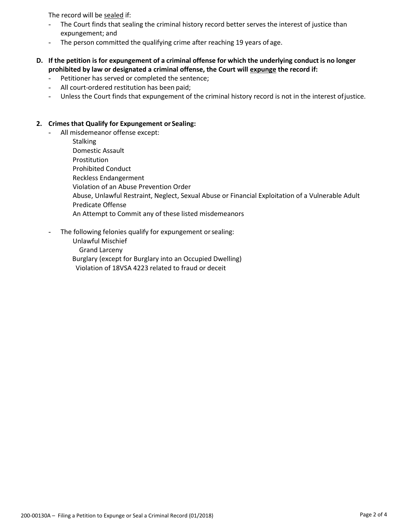The record will be sealed if:

- The Court finds that sealing the criminal history record better serves the interest of justice than expungement; and
- The person committed the qualifying crime after reaching 19 years of age.
- D. If the petition is for expungement of a criminal offense for which the underlying conduct is no longer **prohibited by law or designated a criminal offense, the Court will expunge the record if:**
	- Petitioner has served or completed the sentence;
	- All court-ordered restitution has been paid;
	- Unless the Court finds that expungement of the criminal history record is not in the interest ofjustice.

#### **2. Crimes that Qualify for Expungement or Sealing:**

All misdemeanor offense except:

**Stalking** Domestic Assault Prostitution Prohibited Conduct Reckless Endangerment Violation of an Abuse Prevention Order Abuse, Unlawful Restraint, Neglect, Sexual Abuse or Financial Exploitation of a Vulnerable Adult Predicate Offense An Attempt to Commit any of these listed misdemeanors

The following felonies qualify for expungement or sealing:

Unlawful Mischief Grand Larceny

Burglary (except for Burglary into an Occupied Dwelling)

Violation of 18VSA 4223 related to fraud or deceit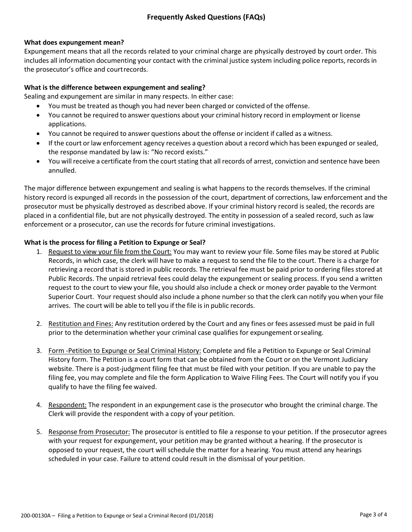# **What does expungement mean?**

Expungement means that all the records related to your criminal charge are physically destroyed by court order. This includes all information documenting your contact with the criminal justice system including police reports, records in the prosecutor's office and courtrecords.

#### **What is the difference between expungement and sealing?**

Sealing and expungement are similar in many respects. In either case:

- You must be treated asthough you had never been charged or convicted of the offense.
- You cannot be required to answer questions about your criminal history record in employment or license applications.
- You cannot be required to answer questions about the offense or incident if called as a witness.
- If the court or law enforcement agency receives a question about a record which has been expunged or sealed, the response mandated by law is: "No record exists."
- You will receive a certificate from the court stating that all records of arrest, conviction and sentence have been annulled.

The major difference between expungement and sealing is what happens to the records themselves. If the criminal history record is expunged all records in the possession of the court, department of corrections, law enforcement and the prosecutor must be physically destroyed as described above. If your criminal history record is sealed, the records are placed in a confidential file, but are not physically destroyed. The entity in possession of a sealed record, such as law enforcement or a prosecutor, can use the records for future criminal investigations.

## **What is the process for filing a Petition to Expunge or Seal?**

- 1. Request to view your file from the Court: You may want to review your file. Some files may be stored at Public Records, in which case, the clerk will have to make a request to send the file to the court. There is a charge for retrieving a record that is stored in public records. The retrieval fee must be paid prior to ordering files stored at Public Records. The unpaid retrieval fees could delay the expungement or sealing process. If you send a written request to the court to view your file, you should also include a check or money order payable to the Vermont Superior Court. Your request should also include a phone number so that the clerk can notify you when yourfile arrives. The court will be able to tell you if the file is in public records.
- 2. Restitution and Fines: Any restitution ordered by the Court and any fines or fees assessed must be paid in full prior to the determination whether your criminal case qualifies for expungement orsealing.
- 3. Form -Petition to Expunge or Seal Criminal History: Complete and file a Petition to Expunge or Seal Criminal History form. The Petition is a court form that can be obtained from the Court or on the Vermont Judiciary website. There is a post-judgment filing fee that must be filed with your petition. If you are unable to pay the filing fee, you may complete and file the form Application to Waive Filing Fees. The Court will notify you if you qualify to have the filing fee waived.
- 4. Respondent: The respondent in an expungement case is the prosecutor who brought the criminal charge. The Clerk will provide the respondent with a copy of your petition.
- 5. Response from Prosecutor: The prosecutor is entitled to file a response to your petition. If the prosecutor agrees with your request for expungement, your petition may be granted without a hearing. If the prosecutor is opposed to your request, the court will schedule the matter for a hearing. You must attend any hearings scheduled in your case. Failure to attend could result in the dismissal of your petition.